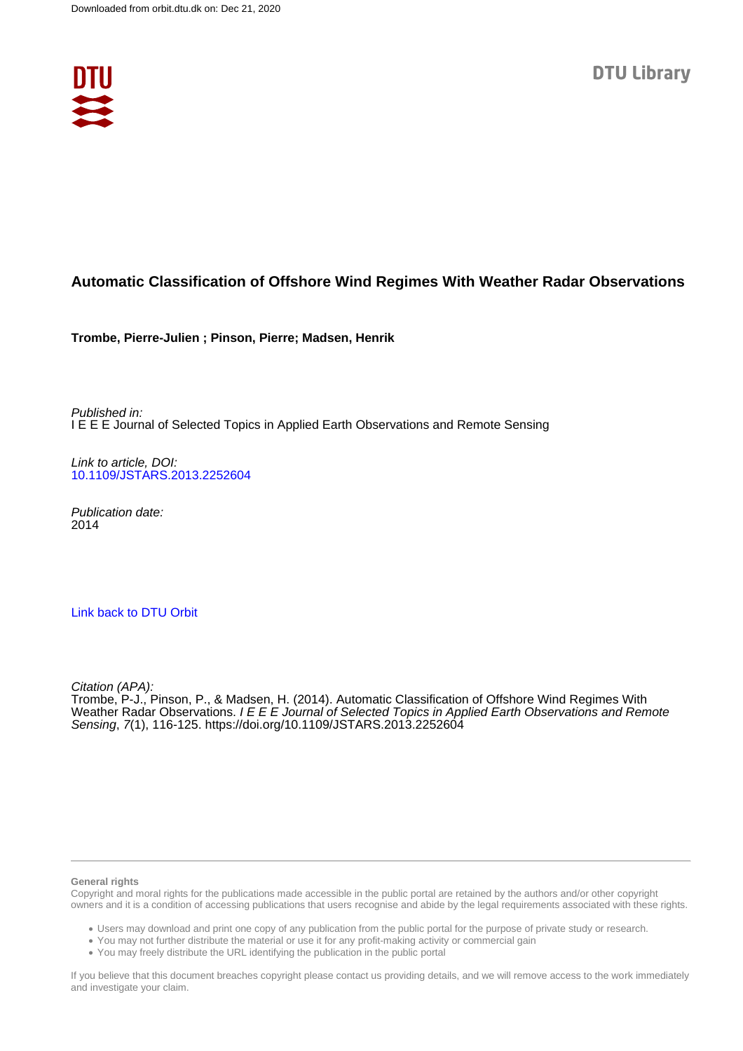

# **Automatic Classification of Offshore Wind Regimes With Weather Radar Observations**

**Trombe, Pierre-Julien ; Pinson, Pierre; Madsen, Henrik**

Published in: I E E E Journal of Selected Topics in Applied Earth Observations and Remote Sensing

Link to article, DOI: [10.1109/JSTARS.2013.2252604](https://doi.org/10.1109/JSTARS.2013.2252604)

Publication date: 2014

# [Link back to DTU Orbit](https://orbit.dtu.dk/en/publications/b43b6dd0-80fd-4e5e-a06d-708c922cbfff)

Citation (APA):

Trombe, P-J., Pinson, P., & Madsen, H. (2014). Automatic Classification of Offshore Wind Regimes With Weather Radar Observations. I E E E Journal of Selected Topics in Applied Earth Observations and Remote Sensing, 7(1), 116-125.<https://doi.org/10.1109/JSTARS.2013.2252604>

#### **General rights**

Copyright and moral rights for the publications made accessible in the public portal are retained by the authors and/or other copyright owners and it is a condition of accessing publications that users recognise and abide by the legal requirements associated with these rights.

Users may download and print one copy of any publication from the public portal for the purpose of private study or research.

- You may not further distribute the material or use it for any profit-making activity or commercial gain
- You may freely distribute the URL identifying the publication in the public portal

If you believe that this document breaches copyright please contact us providing details, and we will remove access to the work immediately and investigate your claim.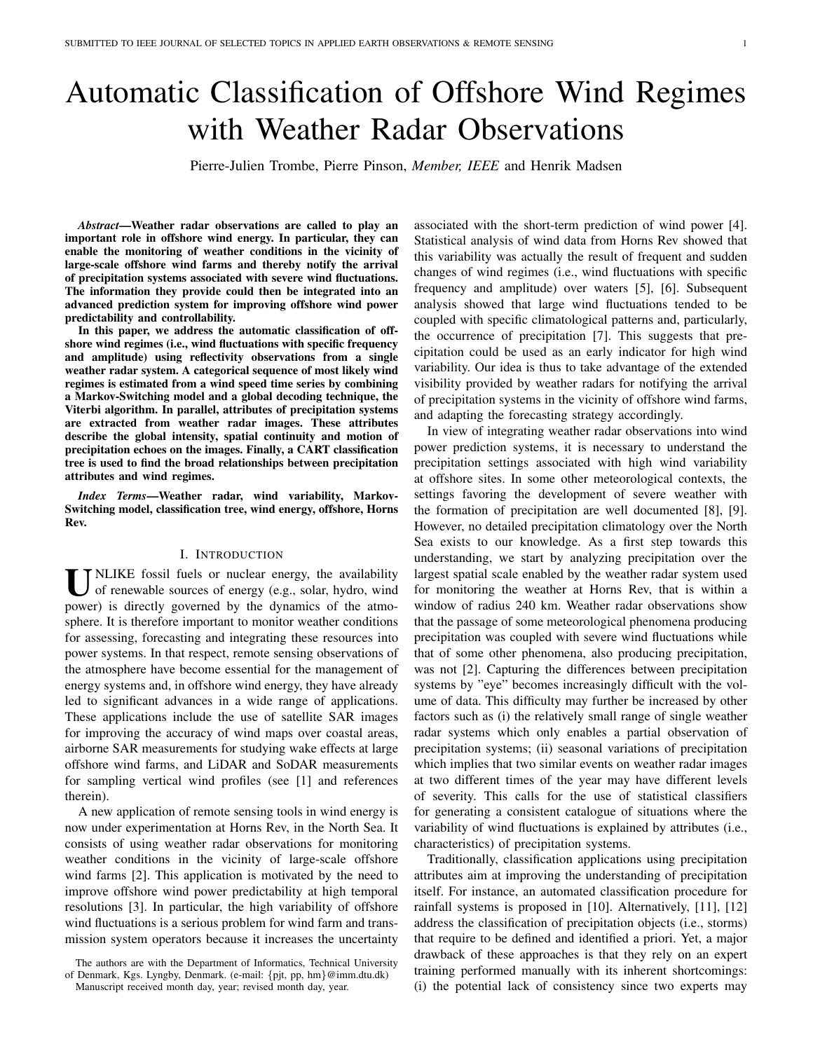# Automatic Classification of Offshore Wind Regimes with Weather Radar Observations

Pierre-Julien Trombe, Pierre Pinson, *Member, IEEE* and Henrik Madsen

*Abstract*—Weather radar observations are called to play an important role in offshore wind energy. In particular, they can enable the monitoring of weather conditions in the vicinity of large-scale offshore wind farms and thereby notify the arrival of precipitation systems associated with severe wind fluctuations. The information they provide could then be integrated into an advanced prediction system for improving offshore wind power predictability and controllability.

In this paper, we address the automatic classification of offshore wind regimes (i.e., wind fluctuations with specific frequency and amplitude) using reflectivity observations from a single weather radar system. A categorical sequence of most likely wind regimes is estimated from a wind speed time series by combining a Markov-Switching model and a global decoding technique, the Viterbi algorithm. In parallel, attributes of precipitation systems are extracted from weather radar images. These attributes describe the global intensity, spatial continuity and motion of precipitation echoes on the images. Finally, a CART classification tree is used to find the broad relationships between precipitation attributes and wind regimes.

*Index Terms*—Weather radar, wind variability, Markov-Switching model, classification tree, wind energy, offshore, Horns Rev.

## I. INTRODUCTION

UNLIKE fossil fuels or nuclear energy, the availability<br>of renewable sources of energy (e.g., solar, hydro, wind of renewable sources of energy (e.g., solar, hydro, wind power) is directly governed by the dynamics of the atmosphere. It is therefore important to monitor weather conditions for assessing, forecasting and integrating these resources into power systems. In that respect, remote sensing observations of the atmosphere have become essential for the management of energy systems and, in offshore wind energy, they have already led to significant advances in a wide range of applications. These applications include the use of satellite SAR images for improving the accuracy of wind maps over coastal areas, airborne SAR measurements for studying wake effects at large offshore wind farms, and LiDAR and SoDAR measurements for sampling vertical wind profiles (see [1] and references therein).

A new application of remote sensing tools in wind energy is now under experimentation at Horns Rev, in the North Sea. It consists of using weather radar observations for monitoring weather conditions in the vicinity of large-scale offshore wind farms [2]. This application is motivated by the need to improve offshore wind power predictability at high temporal resolutions [3]. In particular, the high variability of offshore wind fluctuations is a serious problem for wind farm and transmission system operators because it increases the uncertainty

associated with the short-term prediction of wind power [4]. Statistical analysis of wind data from Horns Rev showed that this variability was actually the result of frequent and sudden changes of wind regimes (i.e., wind fluctuations with specific frequency and amplitude) over waters [5], [6]. Subsequent analysis showed that large wind fluctuations tended to be coupled with specific climatological patterns and, particularly, the occurrence of precipitation [7]. This suggests that precipitation could be used as an early indicator for high wind variability. Our idea is thus to take advantage of the extended visibility provided by weather radars for notifying the arrival of precipitation systems in the vicinity of offshore wind farms, and adapting the forecasting strategy accordingly.

In view of integrating weather radar observations into wind power prediction systems, it is necessary to understand the precipitation settings associated with high wind variability at offshore sites. In some other meteorological contexts, the settings favoring the development of severe weather with the formation of precipitation are well documented [8], [9]. However, no detailed precipitation climatology over the North Sea exists to our knowledge. As a first step towards this understanding, we start by analyzing precipitation over the largest spatial scale enabled by the weather radar system used for monitoring the weather at Horns Rev, that is within a window of radius 240 km. Weather radar observations show that the passage of some meteorological phenomena producing precipitation was coupled with severe wind fluctuations while that of some other phenomena, also producing precipitation, was not [2]. Capturing the differences between precipitation systems by "eye" becomes increasingly difficult with the volume of data. This difficulty may further be increased by other factors such as (i) the relatively small range of single weather radar systems which only enables a partial observation of precipitation systems; (ii) seasonal variations of precipitation which implies that two similar events on weather radar images at two different times of the year may have different levels of severity. This calls for the use of statistical classifiers for generating a consistent catalogue of situations where the variability of wind fluctuations is explained by attributes (i.e., characteristics) of precipitation systems.

Traditionally, classification applications using precipitation attributes aim at improving the understanding of precipitation itself. For instance, an automated classification procedure for rainfall systems is proposed in [10]. Alternatively, [11], [12] address the classification of precipitation objects (i.e., storms) that require to be defined and identified a priori. Yet, a major drawback of these approaches is that they rely on an expert training performed manually with its inherent shortcomings: (i) the potential lack of consistency since two experts may

The authors are with the Department of Informatics, Technical University

of Denmark, Kgs. Lyngby, Denmark. (e-mail: {pjt, pp, hm}@imm.dtu.dk) Manuscript received month day, year; revised month day, year.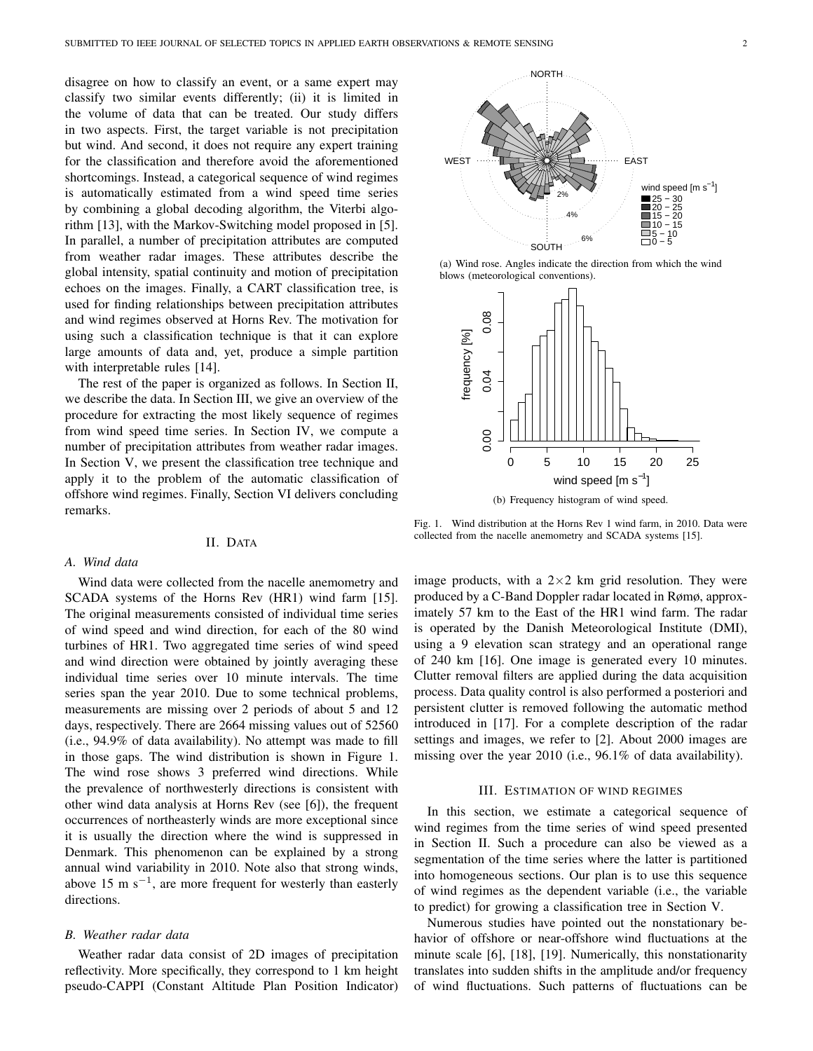disagree on how to classify an event, or a same expert may classify two similar events differently; (ii) it is limited in the volume of data that can be treated. Our study differs in two aspects. First, the target variable is not precipitation but wind. And second, it does not require any expert training for the classification and therefore avoid the aforementioned shortcomings. Instead, a categorical sequence of wind regimes is automatically estimated from a wind speed time series by combining a global decoding algorithm, the Viterbi algorithm [13], with the Markov-Switching model proposed in [5]. In parallel, a number of precipitation attributes are computed from weather radar images. These attributes describe the global intensity, spatial continuity and motion of precipitation echoes on the images. Finally, a CART classification tree, is used for finding relationships between precipitation attributes and wind regimes observed at Horns Rev. The motivation for using such a classification technique is that it can explore large amounts of data and, yet, produce a simple partition with interpretable rules [14].

The rest of the paper is organized as follows. In Section II, we describe the data. In Section III, we give an overview of the procedure for extracting the most likely sequence of regimes from wind speed time series. In Section IV, we compute a number of precipitation attributes from weather radar images. In Section V, we present the classification tree technique and apply it to the problem of the automatic classification of offshore wind regimes. Finally, Section VI delivers concluding remarks.

#### II. DATA

# *A. Wind data*

Wind data were collected from the nacelle anemometry and SCADA systems of the Horns Rev (HR1) wind farm [15]. The original measurements consisted of individual time series of wind speed and wind direction, for each of the 80 wind turbines of HR1. Two aggregated time series of wind speed and wind direction were obtained by jointly averaging these individual time series over 10 minute intervals. The time series span the year 2010. Due to some technical problems, measurements are missing over 2 periods of about 5 and 12 days, respectively. There are 2664 missing values out of 52560 (i.e., 94.9% of data availability). No attempt was made to fill in those gaps. The wind distribution is shown in Figure 1. The wind rose shows 3 preferred wind directions. While the prevalence of northwesterly directions is consistent with other wind data analysis at Horns Rev (see [6]), the frequent occurrences of northeasterly winds are more exceptional since it is usually the direction where the wind is suppressed in Denmark. This phenomenon can be explained by a strong annual wind variability in 2010. Note also that strong winds, above 15 m  $s^{-1}$ , are more frequent for westerly than easterly directions.

#### *B. Weather radar data*

Weather radar data consist of 2D images of precipitation reflectivity. More specifically, they correspond to 1 km height pseudo-CAPPI (Constant Altitude Plan Position Indicator)



(a) Wind rose. Angles indicate the direction from which the wind blows (meteorological conventions).



(b) Frequency histogram of wind speed.

Fig. 1. Wind distribution at the Horns Rev 1 wind farm, in 2010. Data were collected from the nacelle anemometry and SCADA systems [15].

image products, with a  $2\times2$  km grid resolution. They were produced by a C-Band Doppler radar located in Rømø, approximately 57 km to the East of the HR1 wind farm. The radar is operated by the Danish Meteorological Institute (DMI), using a 9 elevation scan strategy and an operational range of 240 km [16]. One image is generated every 10 minutes. Clutter removal filters are applied during the data acquisition process. Data quality control is also performed a posteriori and persistent clutter is removed following the automatic method introduced in [17]. For a complete description of the radar settings and images, we refer to [2]. About 2000 images are missing over the year 2010 (i.e., 96.1% of data availability).

#### III. ESTIMATION OF WIND REGIMES

In this section, we estimate a categorical sequence of wind regimes from the time series of wind speed presented in Section II. Such a procedure can also be viewed as a segmentation of the time series where the latter is partitioned into homogeneous sections. Our plan is to use this sequence of wind regimes as the dependent variable (i.e., the variable to predict) for growing a classification tree in Section V.

Numerous studies have pointed out the nonstationary behavior of offshore or near-offshore wind fluctuations at the minute scale [6], [18], [19]. Numerically, this nonstationarity translates into sudden shifts in the amplitude and/or frequency of wind fluctuations. Such patterns of fluctuations can be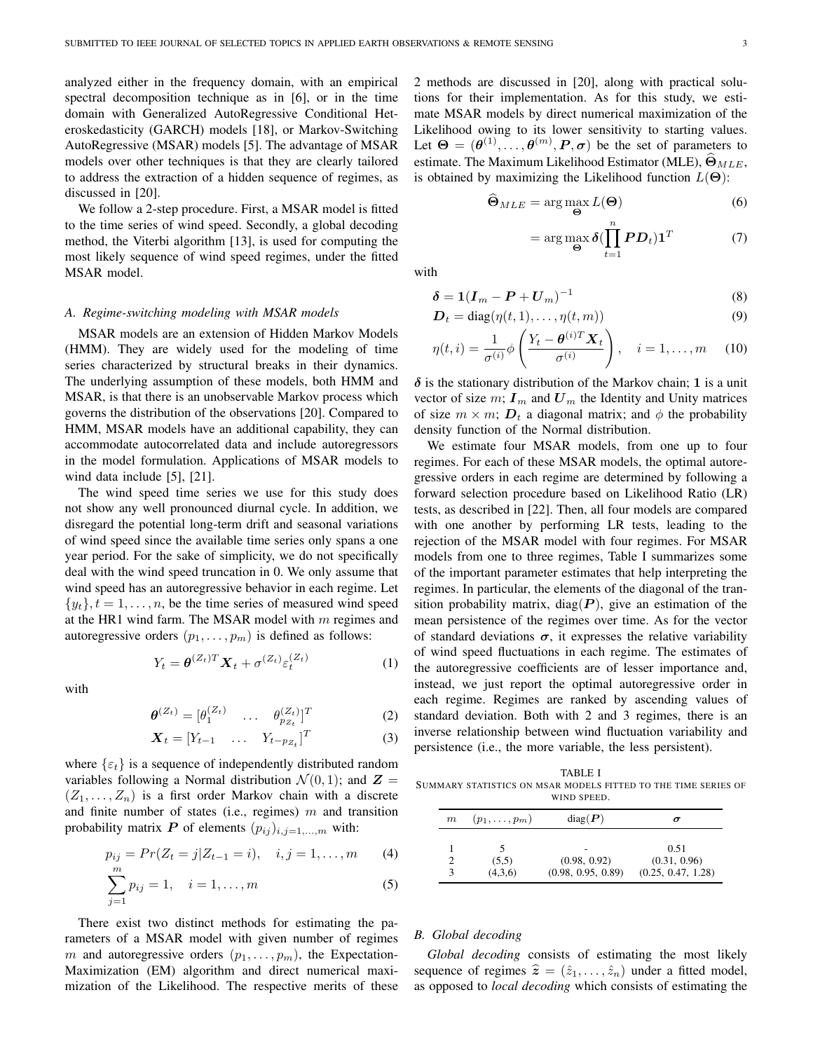analyzed either in the frequency domain, with an empirical spectral decomposition technique as in [6], or in the time domain with Generalized AutoRegressive Conditional Heteroskedasticity (GARCH) models [18], or Markov-Switching AutoRegressive (MSAR) models [5]. The advantage of MSAR models over other techniques is that they are clearly tailored to address the extraction of a hidden sequence of regimes, as discussed in [20].

We follow a 2-step procedure. First, a MSAR model is fitted to the time series of wind speed. Secondly, a global decoding method, the Viterbi algorithm [13], is used for computing the most likely sequence of wind speed regimes, under the fitted MSAR model.

## *A. Regime-switching modeling with MSAR models*

MSAR models are an extension of Hidden Markov Models (HMM). They are widely used for the modeling of time series characterized by structural breaks in their dynamics. The underlying assumption of these models, both HMM and MSAR, is that there is an unobservable Markov process which governs the distribution of the observations [20]. Compared to HMM, MSAR models have an additional capability, they can accommodate autocorrelated data and include autoregressors in the model formulation. Applications of MSAR models to wind data include [5], [21].

The wind speed time series we use for this study does not show any well pronounced diurnal cycle. In addition, we disregard the potential long-term drift and seasonal variations of wind speed since the available time series only spans a one year period. For the sake of simplicity, we do not specifically deal with the wind speed truncation in 0. We only assume that wind speed has an autoregressive behavior in each regime. Let  $\{y_t\}, t = 1, \ldots, n$ , be the time series of measured wind speed at the HR1 wind farm. The MSAR model with  $m$  regimes and autoregressive orders  $(p_1, \ldots, p_m)$  is defined as follows:

$$
Y_t = \boldsymbol{\theta}^{(Z_t)T} \boldsymbol{X}_t + \sigma^{(Z_t)} \varepsilon_t^{(Z_t)}
$$
(1)

with

$$
\boldsymbol{\theta}^{(Z_t)} = [\theta_1^{(Z_t)} \quad \dots \quad \theta_{p_{Z_t}}^{(Z_t)}]^T
$$
 (2)

$$
\boldsymbol{X}_t = \begin{bmatrix} Y_{t-1} & \dots & Y_{t-p_{Z_t}} \end{bmatrix}^T \tag{3}
$$

where  $\{\varepsilon_t\}$  is a sequence of independently distributed random variables following a Normal distribution  $\mathcal{N}(0, 1)$ ; and  $\mathbf{Z} =$  $(Z_1, \ldots, Z_n)$  is a first order Markov chain with a discrete and finite number of states (i.e., regimes)  $m$  and transition probability matrix P of elements  $(p_{ij})_{i,j=1,\dots,m}$  with:

$$
p_{ij} = Pr(Z_t = j | Z_{t-1} = i), \quad i, j = 1, \dots, m \tag{4}
$$

$$
\sum_{j=1}^{m} p_{ij} = 1, \quad i = 1, \dots, m
$$
 (5)

There exist two distinct methods for estimating the parameters of a MSAR model with given number of regimes m and autoregressive orders  $(p_1, \ldots, p_m)$ , the Expectation-Maximization (EM) algorithm and direct numerical maximization of the Likelihood. The respective merits of these 2 methods are discussed in [20], along with practical solutions for their implementation. As for this study, we estimate MSAR models by direct numerical maximization of the Likelihood owing to its lower sensitivity to starting values. Let  $\Theta = (\theta^{(1)}, \dots, \theta^{(m)}, P, \sigma)$  be the set of parameters to estimate. The Maximum Likelihood Estimator (MLE),  $\hat{\Theta}_{MLE}$ , is obtained by maximizing the Likelihood function  $L(\Theta)$ :

$$
\widehat{\Theta}_{MLE} = \arg\max_{\Theta} L(\Theta) \tag{6}
$$

$$
= \arg \max_{\Theta} \delta(\prod_{t=1}^{n} PD_t) \mathbf{1}^T
$$
 (7)

with

$$
\delta = \mathbf{1}(I_m - P + U_m)^{-1} \tag{8}
$$

$$
D_t = \text{diag}(\eta(t, 1), \dots, \eta(t, m))
$$
\n(9)

$$
\eta(t,i) = \frac{1}{\sigma^{(i)}} \phi\left(\frac{Y_t - \theta^{(i)T} X_t}{\sigma^{(i)}}\right), \quad i = 1, \dots, m \quad (10)
$$

 $\delta$  is the stationary distribution of the Markov chain; 1 is a unit vector of size m;  $I_m$  and  $U_m$  the Identity and Unity matrices of size  $m \times m$ ;  $\mathbf{D}_t$  a diagonal matrix; and  $\phi$  the probability density function of the Normal distribution.

We estimate four MSAR models, from one up to four regimes. For each of these MSAR models, the optimal autoregressive orders in each regime are determined by following a forward selection procedure based on Likelihood Ratio (LR) tests, as described in [22]. Then, all four models are compared with one another by performing LR tests, leading to the rejection of the MSAR model with four regimes. For MSAR models from one to three regimes, Table I summarizes some of the important parameter estimates that help interpreting the regimes. In particular, the elements of the diagonal of the transition probability matrix, diag( $P$ ), give an estimation of the mean persistence of the regimes over time. As for the vector of standard deviations  $\sigma$ , it expresses the relative variability of wind speed fluctuations in each regime. The estimates of the autoregressive coefficients are of lesser importance and, instead, we just report the optimal autoregressive order in each regime. Regimes are ranked by ascending values of standard deviation. Both with 2 and 3 regimes, there is an inverse relationship between wind fluctuation variability and persistence (i.e., the more variable, the less persistent).

TABLE I SUMMARY STATISTICS ON MSAR MODELS FITTED TO THE TIME SERIES OF WIND SPEED.

| $_{m}$ | $(p_1,\ldots,p_m)$ | diag(P)            | σ                  |  |  |
|--------|--------------------|--------------------|--------------------|--|--|
|        |                    |                    | 0.51               |  |  |
| 2      | (5,5)              | (0.98, 0.92)       | (0.31, 0.96)       |  |  |
| 3      | (4,3,6)            | (0.98, 0.95, 0.89) | (0.25, 0.47, 1.28) |  |  |

#### *B. Global decoding*

*Global decoding* consists of estimating the most likely sequence of regimes  $\hat{z} = (\hat{z}_1, \dots, \hat{z}_n)$  under a fitted model, as opposed to *local decoding* which consists of estimating the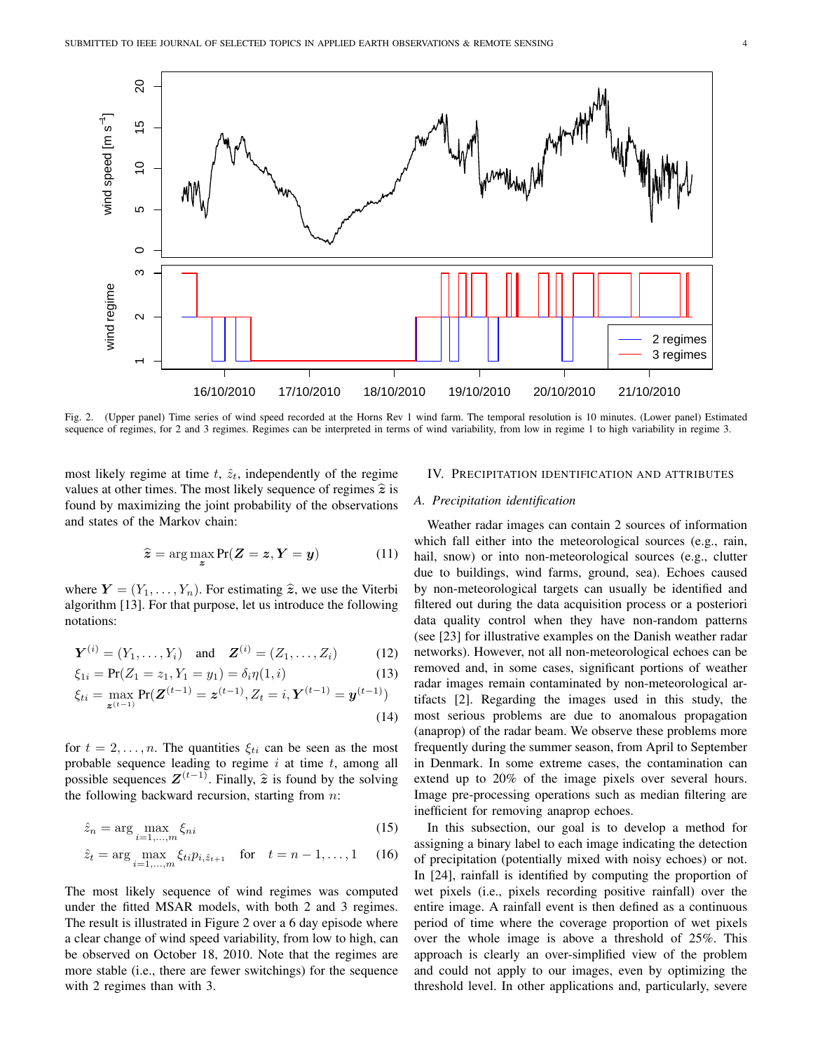

Fig. 2. (Upper panel) Time series of wind speed recorded at the Horns Rev 1 wind farm. The temporal resolution is 10 minutes. (Lower panel) Estimated sequence of regimes, for 2 and 3 regimes. Regimes can be interpreted in terms of wind variability, from low in regime 1 to high variability in regime 3.

most likely regime at time  $t$ ,  $\hat{z}_t$ , independently of the regime values at other times. The most likely sequence of regimes  $\hat{z}$  is found by maximizing the joint probability of the observations and states of the Markov chain:

$$
\widehat{z} = \arg\max_{\boldsymbol{z}} \Pr(\boldsymbol{Z} = \boldsymbol{z}, \boldsymbol{Y} = \boldsymbol{y}) \tag{11}
$$

where  $Y = (Y_1, \ldots, Y_n)$ . For estimating  $\hat{z}$ , we use the Viterbi algorithm [13]. For that purpose, let us introduce the following notations:

$$
\boldsymbol{Y}^{(i)} = (Y_1, \dots, Y_i) \text{ and } \boldsymbol{Z}^{(i)} = (Z_1, \dots, Z_i) \quad (12)
$$

$$
\xi_{1i} = \Pr(Z_1 = z_1, Y_1 = y_1) = \delta_i \eta(1, i)
$$
\n(13)

$$
\xi_{ti} = \max_{\mathbf{z}^{(t-1)}} \Pr(\mathbf{Z}^{(t-1)} = \mathbf{z}^{(t-1)}, Z_t = i, \mathbf{Y}^{(t-1)} = \mathbf{y}^{(t-1)})
$$
\n(14)

for  $t = 2, \ldots, n$ . The quantities  $\xi_{ti}$  can be seen as the most probable sequence leading to regime  $i$  at time  $t$ , among all possible sequences  $Z^{(t-1)}$ . Finally,  $\hat{z}$  is found by the solving the following beckward requirements from a: the following backward recursion, starting from  $n$ :

$$
\hat{z}_n = \arg\max_{i=1,\dots,m} \xi_{ni} \tag{15}
$$

$$
\hat{z}_t = \arg \max_{i=1,...,m} \xi_{ti} p_{i,\hat{z}_{t+1}} \quad \text{for} \quad t = n-1,...,1 \quad (16)
$$

The most likely sequence of wind regimes was computed under the fitted MSAR models, with both 2 and 3 regimes. The result is illustrated in Figure 2 over a 6 day episode where a clear change of wind speed variability, from low to high, can be observed on October 18, 2010. Note that the regimes are more stable (i.e., there are fewer switchings) for the sequence with 2 regimes than with 3.

# IV. PRECIPITATION IDENTIFICATION AND ATTRIBUTES

# *A. Precipitation identification*

Weather radar images can contain 2 sources of information which fall either into the meteorological sources (e.g., rain, hail, snow) or into non-meteorological sources (e.g., clutter due to buildings, wind farms, ground, sea). Echoes caused by non-meteorological targets can usually be identified and filtered out during the data acquisition process or a posteriori data quality control when they have non-random patterns (see [23] for illustrative examples on the Danish weather radar networks). However, not all non-meteorological echoes can be removed and, in some cases, significant portions of weather radar images remain contaminated by non-meteorological artifacts [2]. Regarding the images used in this study, the most serious problems are due to anomalous propagation (anaprop) of the radar beam. We observe these problems more frequently during the summer season, from April to September in Denmark. In some extreme cases, the contamination can extend up to 20% of the image pixels over several hours. Image pre-processing operations such as median filtering are inefficient for removing anaprop echoes.

In this subsection, our goal is to develop a method for assigning a binary label to each image indicating the detection of precipitation (potentially mixed with noisy echoes) or not. In [24], rainfall is identified by computing the proportion of wet pixels (i.e., pixels recording positive rainfall) over the entire image. A rainfall event is then defined as a continuous period of time where the coverage proportion of wet pixels over the whole image is above a threshold of 25%. This approach is clearly an over-simplified view of the problem and could not apply to our images, even by optimizing the threshold level. In other applications and, particularly, severe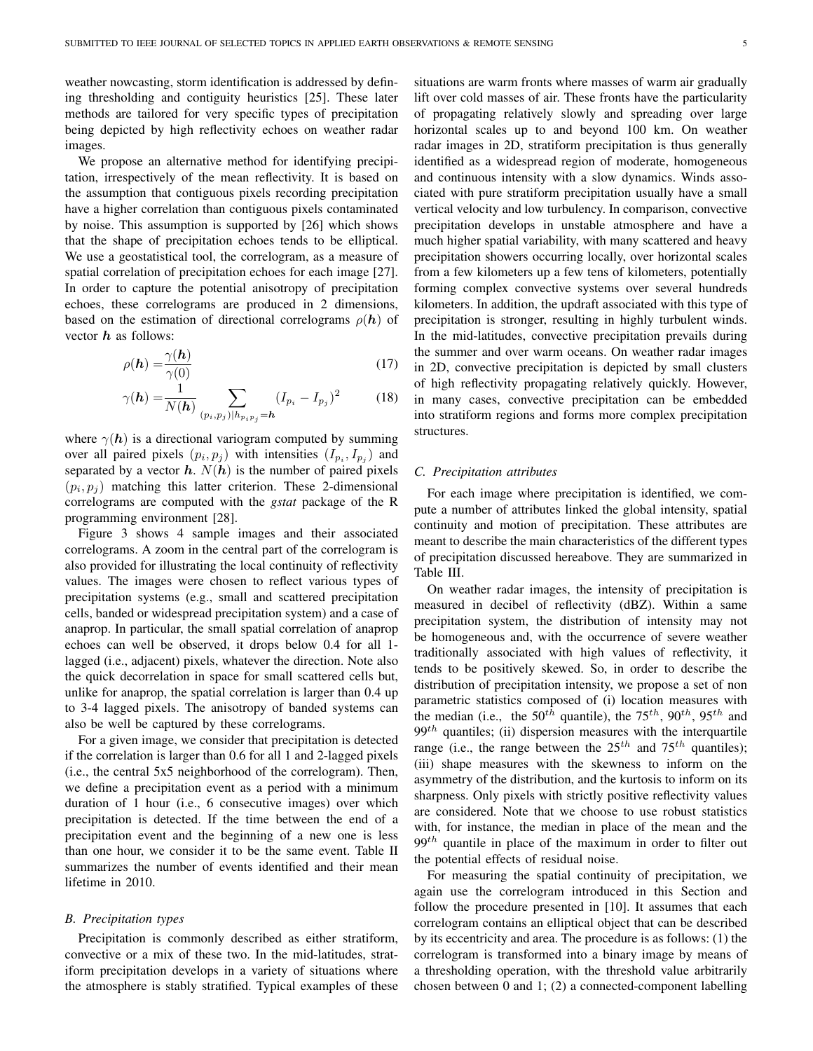weather nowcasting, storm identification is addressed by defining thresholding and contiguity heuristics [25]. These later methods are tailored for very specific types of precipitation being depicted by high reflectivity echoes on weather radar images.

We propose an alternative method for identifying precipitation, irrespectively of the mean reflectivity. It is based on the assumption that contiguous pixels recording precipitation have a higher correlation than contiguous pixels contaminated by noise. This assumption is supported by [26] which shows that the shape of precipitation echoes tends to be elliptical. We use a geostatistical tool, the correlogram, as a measure of spatial correlation of precipitation echoes for each image [27]. In order to capture the potential anisotropy of precipitation echoes, these correlograms are produced in 2 dimensions, based on the estimation of directional correlograms  $\rho(h)$  of vector  $h$  as follows:

$$
\rho(\mathbf{h}) = \frac{\gamma(\mathbf{h})}{\gamma(0)}\tag{17}
$$

$$
\gamma(\mathbf{h}) = \frac{1}{N(\mathbf{h})} \sum_{(p_i, p_j)|h_{p_i p_j} = \mathbf{h}} (I_{p_i} - I_{p_j})^2
$$
(18)

where  $\gamma(h)$  is a directional variogram computed by summing over all paired pixels  $(p_i, p_j)$  with intensities  $(I_{p_i}, I_{p_j})$  and separated by a vector  $h$ .  $N(h)$  is the number of paired pixels  $(p_i, p_j)$  matching this latter criterion. These 2-dimensional correlograms are computed with the *gstat* package of the R programming environment [28].

Figure 3 shows 4 sample images and their associated correlograms. A zoom in the central part of the correlogram is also provided for illustrating the local continuity of reflectivity values. The images were chosen to reflect various types of precipitation systems (e.g., small and scattered precipitation cells, banded or widespread precipitation system) and a case of anaprop. In particular, the small spatial correlation of anaprop echoes can well be observed, it drops below 0.4 for all 1 lagged (i.e., adjacent) pixels, whatever the direction. Note also the quick decorrelation in space for small scattered cells but, unlike for anaprop, the spatial correlation is larger than 0.4 up to 3-4 lagged pixels. The anisotropy of banded systems can also be well be captured by these correlograms.

For a given image, we consider that precipitation is detected if the correlation is larger than 0.6 for all 1 and 2-lagged pixels (i.e., the central 5x5 neighborhood of the correlogram). Then, we define a precipitation event as a period with a minimum duration of 1 hour (i.e., 6 consecutive images) over which precipitation is detected. If the time between the end of a precipitation event and the beginning of a new one is less than one hour, we consider it to be the same event. Table II summarizes the number of events identified and their mean lifetime in 2010.

## *B. Precipitation types*

Precipitation is commonly described as either stratiform, convective or a mix of these two. In the mid-latitudes, stratiform precipitation develops in a variety of situations where the atmosphere is stably stratified. Typical examples of these situations are warm fronts where masses of warm air gradually lift over cold masses of air. These fronts have the particularity of propagating relatively slowly and spreading over large horizontal scales up to and beyond 100 km. On weather radar images in 2D, stratiform precipitation is thus generally identified as a widespread region of moderate, homogeneous and continuous intensity with a slow dynamics. Winds associated with pure stratiform precipitation usually have a small vertical velocity and low turbulency. In comparison, convective precipitation develops in unstable atmosphere and have a much higher spatial variability, with many scattered and heavy precipitation showers occurring locally, over horizontal scales from a few kilometers up a few tens of kilometers, potentially forming complex convective systems over several hundreds kilometers. In addition, the updraft associated with this type of precipitation is stronger, resulting in highly turbulent winds. In the mid-latitudes, convective precipitation prevails during the summer and over warm oceans. On weather radar images in 2D, convective precipitation is depicted by small clusters of high reflectivity propagating relatively quickly. However, in many cases, convective precipitation can be embedded into stratiform regions and forms more complex precipitation structures.

#### *C. Precipitation attributes*

For each image where precipitation is identified, we compute a number of attributes linked the global intensity, spatial continuity and motion of precipitation. These attributes are meant to describe the main characteristics of the different types of precipitation discussed hereabove. They are summarized in Table III.

On weather radar images, the intensity of precipitation is measured in decibel of reflectivity (dBZ). Within a same precipitation system, the distribution of intensity may not be homogeneous and, with the occurrence of severe weather traditionally associated with high values of reflectivity, it tends to be positively skewed. So, in order to describe the distribution of precipitation intensity, we propose a set of non parametric statistics composed of (i) location measures with the median (i.e., the  $50^{th}$  quantile), the  $75^{th}$ ,  $90^{th}$ ,  $95^{th}$  and  $99<sup>th</sup>$  quantiles; (ii) dispersion measures with the interquartile range (i.e., the range between the  $25^{th}$  and  $75^{th}$  quantiles); (iii) shape measures with the skewness to inform on the asymmetry of the distribution, and the kurtosis to inform on its sharpness. Only pixels with strictly positive reflectivity values are considered. Note that we choose to use robust statistics with, for instance, the median in place of the mean and the  $99<sup>th</sup>$  quantile in place of the maximum in order to filter out the potential effects of residual noise.

For measuring the spatial continuity of precipitation, we again use the correlogram introduced in this Section and follow the procedure presented in [10]. It assumes that each correlogram contains an elliptical object that can be described by its eccentricity and area. The procedure is as follows: (1) the correlogram is transformed into a binary image by means of a thresholding operation, with the threshold value arbitrarily chosen between 0 and 1; (2) a connected-component labelling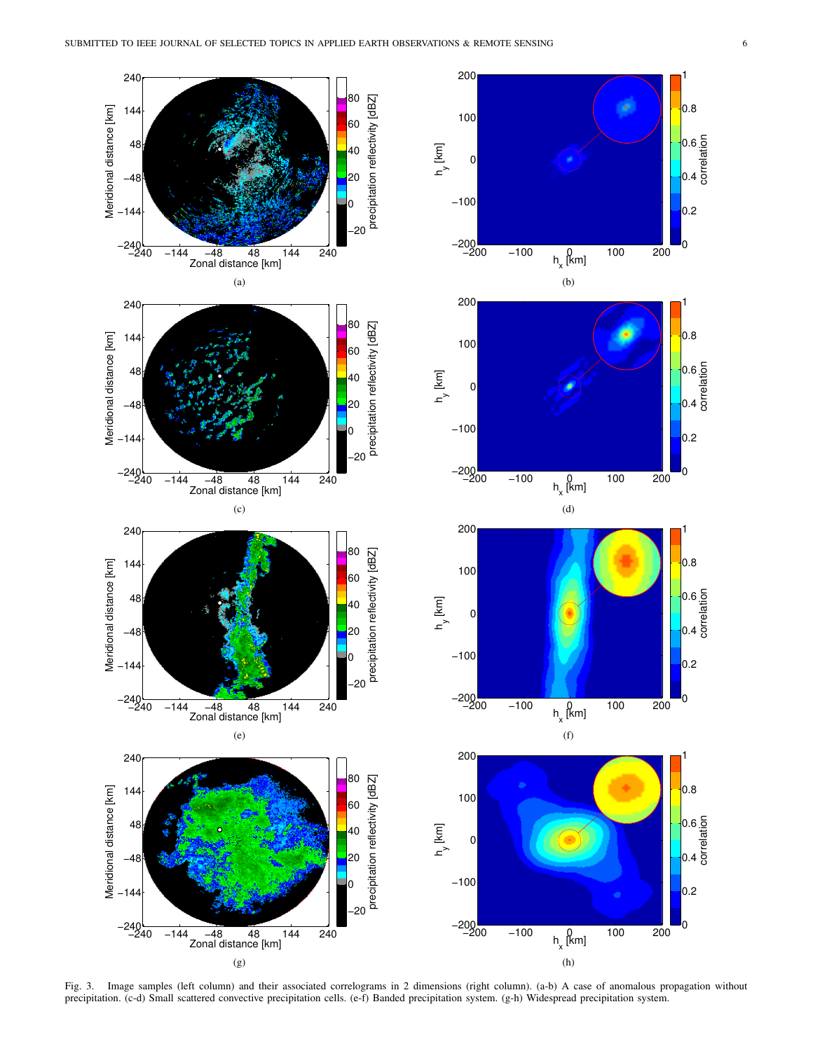

Fig. 3. Image samples (left column) and their associated correlograms in 2 dimensions (right column). (a-b) A case of anomalous propagation without precipitation. (c-d) Small scattered convective precipitation cells. (e-f) Banded precipitation system. (g-h) Widespread precipitation system.

0.6 $\frac{6}{10}$ <br>0.4 $\frac{6}{10}$ 

0.6<br>adjate<br>0.4<br>co

0.6 $\frac{6}{10}$ <br>0.4 $\frac{6}{10}$ 

0.6 $\frac{6}{10}$ <br>0.4 $\frac{6}{10}$ 

0.6 흐

0.8

1

0

0.2

0.6 흐

0.8

1

0

0.2

0.6 호

0.8

1

0

0.2

0.6 흐

0.8

1

0

0.2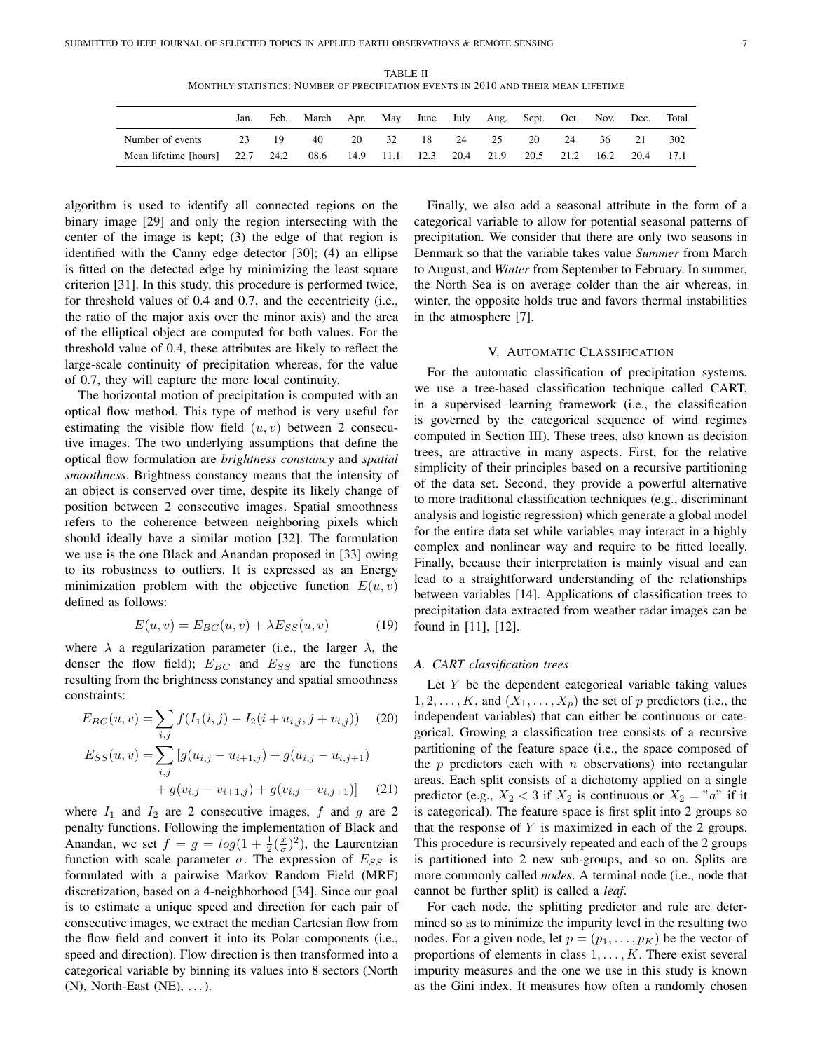TABLE II MONTHLY STATISTICS: NUMBER OF PRECIPITATION EVENTS IN 2010 AND THEIR MEAN LIFETIME

|                       | Jan. | Feb. | March          | Apr. | May | June      | July |      | Aug. Sept. Oct. |           | Nov. | Dec. | Total |
|-----------------------|------|------|----------------|------|-----|-----------|------|------|-----------------|-----------|------|------|-------|
| Number of events      | 23   | 19   | 40             | 20   | 32  | 18        | 24   | 25   | -20             | 24        | 36   | 21   | 302   |
| Mean lifetime [hours] | 22.7 | 24.2 | 08.6 14.9 11.1 |      |     | 12.3 20.4 |      | 21.9 |                 | 20.5 21.2 | 16.2 | 20.4 |       |

algorithm is used to identify all connected regions on the binary image [29] and only the region intersecting with the center of the image is kept; (3) the edge of that region is identified with the Canny edge detector [30]; (4) an ellipse is fitted on the detected edge by minimizing the least square criterion [31]. In this study, this procedure is performed twice, for threshold values of 0.4 and 0.7, and the eccentricity (i.e., the ratio of the major axis over the minor axis) and the area of the elliptical object are computed for both values. For the threshold value of 0.4, these attributes are likely to reflect the large-scale continuity of precipitation whereas, for the value of 0.7, they will capture the more local continuity.

The horizontal motion of precipitation is computed with an optical flow method. This type of method is very useful for estimating the visible flow field  $(u, v)$  between 2 consecutive images. The two underlying assumptions that define the optical flow formulation are *brightness constancy* and *spatial smoothness*. Brightness constancy means that the intensity of an object is conserved over time, despite its likely change of position between 2 consecutive images. Spatial smoothness refers to the coherence between neighboring pixels which should ideally have a similar motion [32]. The formulation we use is the one Black and Anandan proposed in [33] owing to its robustness to outliers. It is expressed as an Energy minimization problem with the objective function  $E(u, v)$ defined as follows:

$$
E(u, v) = E_{BC}(u, v) + \lambda E_{SS}(u, v)
$$
\n(19)

where  $\lambda$  a regularization parameter (i.e., the larger  $\lambda$ , the denser the flow field);  $E_{BC}$  and  $E_{SS}$  are the functions resulting from the brightness constancy and spatial smoothness constraints:

$$
E_{BC}(u,v) = \sum_{i,j} f(I_1(i,j) - I_2(i + u_{i,j}, j + v_{i,j}))
$$
 (20)

$$
E_{SS}(u, v) = \sum_{i,j} \left[ g(u_{i,j} - u_{i+1,j}) + g(u_{i,j} - u_{i,j+1}) + g(v_{i,j} - v_{i+1,j}) + g(v_{i,j} - v_{i,j+1}) \right]
$$
(21)

where  $I_1$  and  $I_2$  are 2 consecutive images, f and g are 2 penalty functions. Following the implementation of Black and Anandan, we set  $f = g = log(1 + \frac{1}{2}(\frac{x}{\sigma})^2)$ , the Laurentzian function with scale parameter  $\sigma$ . The expression of  $E_{SS}$  is formulated with a pairwise Markov Random Field (MRF) discretization, based on a 4-neighborhood [34]. Since our goal is to estimate a unique speed and direction for each pair of consecutive images, we extract the median Cartesian flow from the flow field and convert it into its Polar components (i.e., speed and direction). Flow direction is then transformed into a categorical variable by binning its values into 8 sectors (North  $(N)$ , North-East  $(NE)$ , ...).

Finally, we also add a seasonal attribute in the form of a categorical variable to allow for potential seasonal patterns of precipitation. We consider that there are only two seasons in Denmark so that the variable takes value *Summer* from March to August, and *Winter* from September to February. In summer, the North Sea is on average colder than the air whereas, in winter, the opposite holds true and favors thermal instabilities in the atmosphere [7].

# V. AUTOMATIC CLASSIFICATION

For the automatic classification of precipitation systems, we use a tree-based classification technique called CART, in a supervised learning framework (i.e., the classification is governed by the categorical sequence of wind regimes computed in Section III). These trees, also known as decision trees, are attractive in many aspects. First, for the relative simplicity of their principles based on a recursive partitioning of the data set. Second, they provide a powerful alternative to more traditional classification techniques (e.g., discriminant analysis and logistic regression) which generate a global model for the entire data set while variables may interact in a highly complex and nonlinear way and require to be fitted locally. Finally, because their interpretation is mainly visual and can lead to a straightforward understanding of the relationships between variables [14]. Applications of classification trees to precipitation data extracted from weather radar images can be found in [11], [12].

### *A. CART classification trees*

Let  $Y$  be the dependent categorical variable taking values  $1, 2, \ldots, K$ , and  $(X_1, \ldots, X_p)$  the set of p predictors (i.e., the independent variables) that can either be continuous or categorical. Growing a classification tree consists of a recursive partitioning of the feature space (i.e., the space composed of the  $p$  predictors each with  $n$  observations) into rectangular areas. Each split consists of a dichotomy applied on a single predictor (e.g.,  $X_2 < 3$  if  $X_2$  is continuous or  $X_2 = "a"$  if it is categorical). The feature space is first split into 2 groups so that the response of  $Y$  is maximized in each of the 2 groups. This procedure is recursively repeated and each of the 2 groups is partitioned into 2 new sub-groups, and so on. Splits are more commonly called *nodes*. A terminal node (i.e., node that cannot be further split) is called a *leaf*.

For each node, the splitting predictor and rule are determined so as to minimize the impurity level in the resulting two nodes. For a given node, let  $p = (p_1, \ldots, p_K)$  be the vector of proportions of elements in class  $1, \ldots, K$ . There exist several impurity measures and the one we use in this study is known as the Gini index. It measures how often a randomly chosen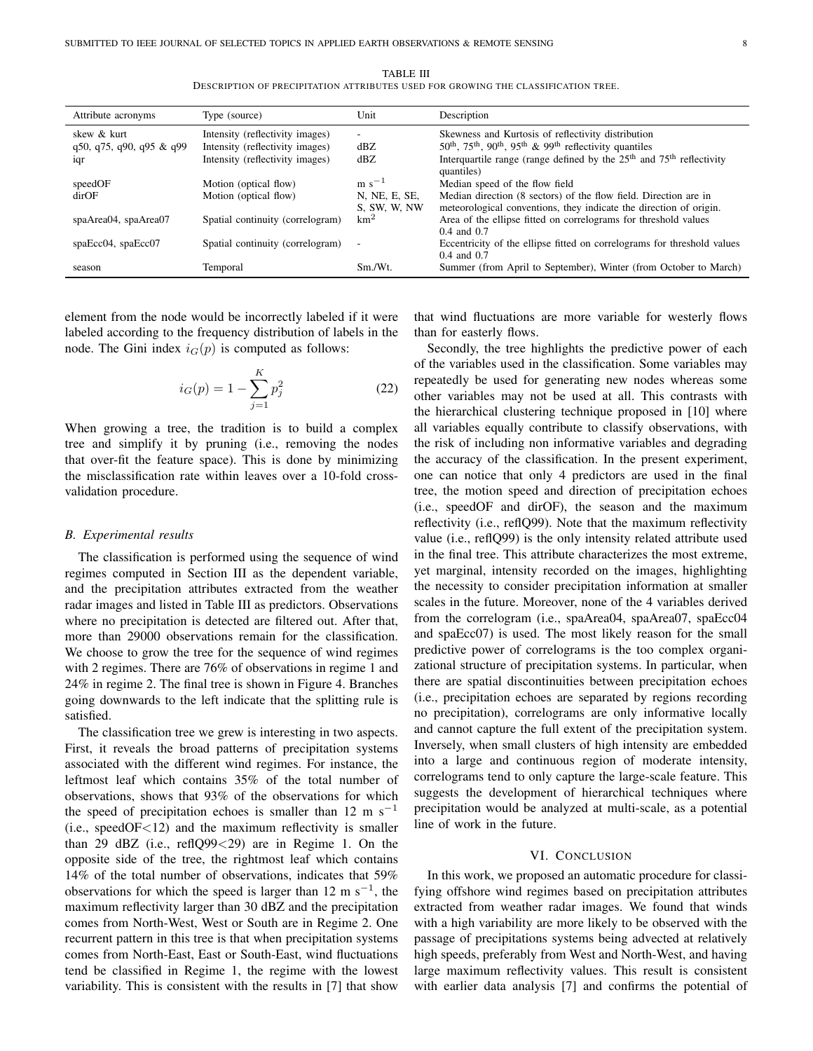TABLE III DESCRIPTION OF PRECIPITATION ATTRIBUTES USED FOR GROWING THE CLASSIFICATION TREE.

| Attribute acronyms       | Type (source)                    | Unit                     | Description                                                                                |
|--------------------------|----------------------------------|--------------------------|--------------------------------------------------------------------------------------------|
| skew & kurt              | Intensity (reflectivity images)  | $\overline{\phantom{a}}$ | Skewness and Kurtosis of reflectivity distribution                                         |
| q50, q75, q90, q95 & q99 | Intensity (reflectivity images)  | dBZ                      | $50^{th}$ , $75^{th}$ , $90^{th}$ , $95^{th}$ & $99^{th}$ reflectivity quantiles           |
| 1qr                      | Intensity (reflectivity images)  | dBZ                      | Interquartile range (range defined by the $25th$ and $75th$ reflectivity<br>quantiles)     |
| speedOF                  | Motion (optical flow)            | $m s^{-1}$               | Median speed of the flow field                                                             |
| dirOF                    | Motion (optical flow)            | N, NE, E, SE,            | Median direction (8 sectors) of the flow field. Direction are in                           |
|                          |                                  | S. SW. W. NW             | meteorological conventions, they indicate the direction of origin.                         |
| spaArea04, spaArea07     | Spatial continuity (correlogram) | km <sup>2</sup>          | Area of the ellipse fitted on correlograms for threshold values                            |
|                          |                                  |                          | $0.4$ and $0.7$                                                                            |
| spaEcc04, spaEcc07       | Spatial continuity (correlogram) |                          | Eccentricity of the ellipse fitted on correlograms for threshold values<br>$0.4$ and $0.7$ |
| season                   | Temporal                         | Sm./Wt.                  | Summer (from April to September), Winter (from October to March)                           |

element from the node would be incorrectly labeled if it were labeled according to the frequency distribution of labels in the node. The Gini index  $i_G(p)$  is computed as follows:

$$
i_G(p) = 1 - \sum_{j=1}^{K} p_j^2
$$
 (22)

When growing a tree, the tradition is to build a complex tree and simplify it by pruning (i.e., removing the nodes that over-fit the feature space). This is done by minimizing the misclassification rate within leaves over a 10-fold crossvalidation procedure.

#### *B. Experimental results*

The classification is performed using the sequence of wind regimes computed in Section III as the dependent variable, and the precipitation attributes extracted from the weather radar images and listed in Table III as predictors. Observations where no precipitation is detected are filtered out. After that, more than 29000 observations remain for the classification. We choose to grow the tree for the sequence of wind regimes with 2 regimes. There are 76% of observations in regime 1 and 24% in regime 2. The final tree is shown in Figure 4. Branches going downwards to the left indicate that the splitting rule is satisfied.

The classification tree we grew is interesting in two aspects. First, it reveals the broad patterns of precipitation systems associated with the different wind regimes. For instance, the leftmost leaf which contains 35% of the total number of observations, shows that 93% of the observations for which the speed of precipitation echoes is smaller than 12 m s<sup>-1</sup>  $(i.e., speedOF < 12)$  and the maximum reflectivity is smaller than 29 dBZ (i.e., reflQ99<29) are in Regime 1. On the opposite side of the tree, the rightmost leaf which contains 14% of the total number of observations, indicates that 59% observations for which the speed is larger than  $12 \text{ m s}^{-1}$ , the maximum reflectivity larger than 30 dBZ and the precipitation comes from North-West, West or South are in Regime 2. One recurrent pattern in this tree is that when precipitation systems comes from North-East, East or South-East, wind fluctuations tend be classified in Regime 1, the regime with the lowest variability. This is consistent with the results in [7] that show that wind fluctuations are more variable for westerly flows than for easterly flows.

Secondly, the tree highlights the predictive power of each of the variables used in the classification. Some variables may repeatedly be used for generating new nodes whereas some other variables may not be used at all. This contrasts with the hierarchical clustering technique proposed in [10] where all variables equally contribute to classify observations, with the risk of including non informative variables and degrading the accuracy of the classification. In the present experiment, one can notice that only 4 predictors are used in the final tree, the motion speed and direction of precipitation echoes (i.e., speedOF and dirOF), the season and the maximum reflectivity (i.e., reflQ99). Note that the maximum reflectivity value (i.e., reflQ99) is the only intensity related attribute used in the final tree. This attribute characterizes the most extreme, yet marginal, intensity recorded on the images, highlighting the necessity to consider precipitation information at smaller scales in the future. Moreover, none of the 4 variables derived from the correlogram (i.e., spaArea04, spaArea07, spaEcc04 and spaEcc07) is used. The most likely reason for the small predictive power of correlograms is the too complex organizational structure of precipitation systems. In particular, when there are spatial discontinuities between precipitation echoes (i.e., precipitation echoes are separated by regions recording no precipitation), correlograms are only informative locally and cannot capture the full extent of the precipitation system. Inversely, when small clusters of high intensity are embedded into a large and continuous region of moderate intensity, correlograms tend to only capture the large-scale feature. This suggests the development of hierarchical techniques where precipitation would be analyzed at multi-scale, as a potential line of work in the future.

# VI. CONCLUSION

In this work, we proposed an automatic procedure for classifying offshore wind regimes based on precipitation attributes extracted from weather radar images. We found that winds with a high variability are more likely to be observed with the passage of precipitations systems being advected at relatively high speeds, preferably from West and North-West, and having large maximum reflectivity values. This result is consistent with earlier data analysis [7] and confirms the potential of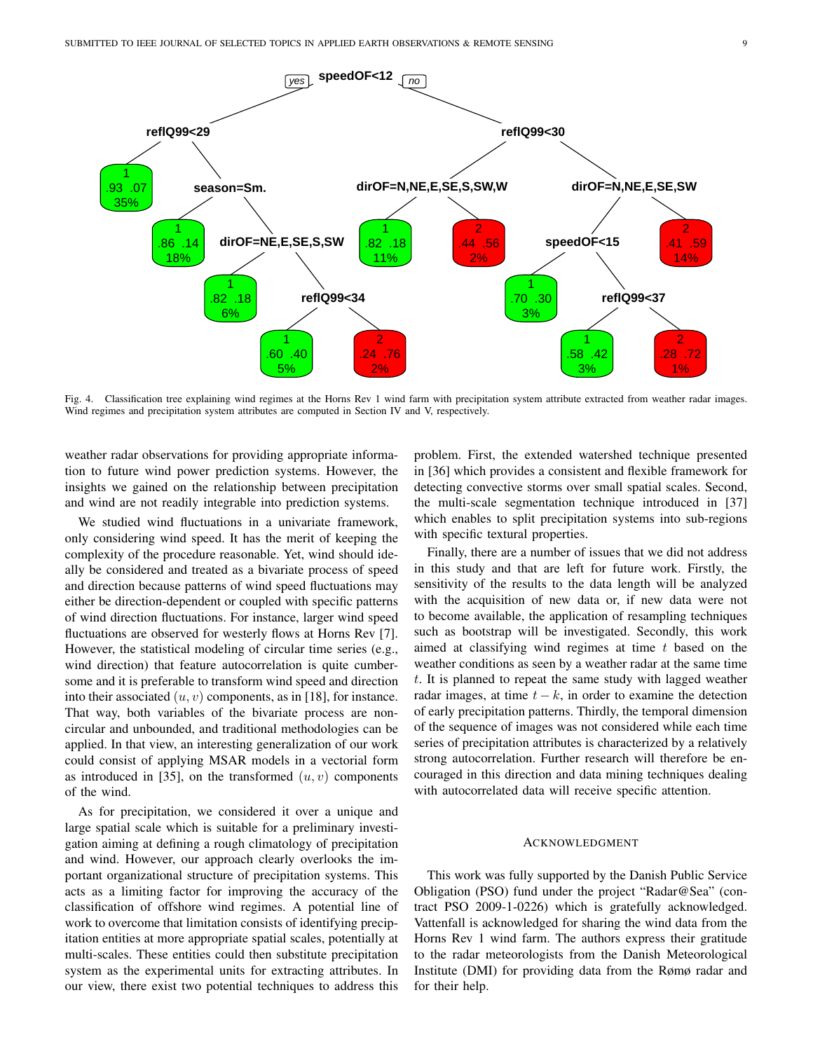

Fig. 4. Classification tree explaining wind regimes at the Horns Rev 1 wind farm with precipitation system attribute extracted from weather radar images. Wind regimes and precipitation system attributes are computed in Section IV and V, respectively.

weather radar observations for providing appropriate information to future wind power prediction systems. However, the insights we gained on the relationship between precipitation and wind are not readily integrable into prediction systems.

We studied wind fluctuations in a univariate framework, only considering wind speed. It has the merit of keeping the complexity of the procedure reasonable. Yet, wind should ideally be considered and treated as a bivariate process of speed and direction because patterns of wind speed fluctuations may either be direction-dependent or coupled with specific patterns of wind direction fluctuations. For instance, larger wind speed fluctuations are observed for westerly flows at Horns Rev [7]. However, the statistical modeling of circular time series (e.g., wind direction) that feature autocorrelation is quite cumbersome and it is preferable to transform wind speed and direction into their associated  $(u, v)$  components, as in [18], for instance. That way, both variables of the bivariate process are noncircular and unbounded, and traditional methodologies can be applied. In that view, an interesting generalization of our work could consist of applying MSAR models in a vectorial form as introduced in [35], on the transformed  $(u, v)$  components of the wind.

As for precipitation, we considered it over a unique and large spatial scale which is suitable for a preliminary investigation aiming at defining a rough climatology of precipitation and wind. However, our approach clearly overlooks the important organizational structure of precipitation systems. This acts as a limiting factor for improving the accuracy of the classification of offshore wind regimes. A potential line of work to overcome that limitation consists of identifying precipitation entities at more appropriate spatial scales, potentially at multi-scales. These entities could then substitute precipitation system as the experimental units for extracting attributes. In our view, there exist two potential techniques to address this

problem. First, the extended watershed technique presented in [36] which provides a consistent and flexible framework for detecting convective storms over small spatial scales. Second, the multi-scale segmentation technique introduced in [37] which enables to split precipitation systems into sub-regions with specific textural properties.

Finally, there are a number of issues that we did not address in this study and that are left for future work. Firstly, the sensitivity of the results to the data length will be analyzed with the acquisition of new data or, if new data were not to become available, the application of resampling techniques such as bootstrap will be investigated. Secondly, this work aimed at classifying wind regimes at time  $t$  based on the weather conditions as seen by a weather radar at the same time t. It is planned to repeat the same study with lagged weather radar images, at time  $t - k$ , in order to examine the detection of early precipitation patterns. Thirdly, the temporal dimension of the sequence of images was not considered while each time series of precipitation attributes is characterized by a relatively strong autocorrelation. Further research will therefore be encouraged in this direction and data mining techniques dealing with autocorrelated data will receive specific attention.

#### ACKNOWLEDGMENT

This work was fully supported by the Danish Public Service Obligation (PSO) fund under the project "Radar@Sea" (contract PSO 2009-1-0226) which is gratefully acknowledged. Vattenfall is acknowledged for sharing the wind data from the Horns Rev 1 wind farm. The authors express their gratitude to the radar meteorologists from the Danish Meteorological Institute (DMI) for providing data from the Rømø radar and for their help.